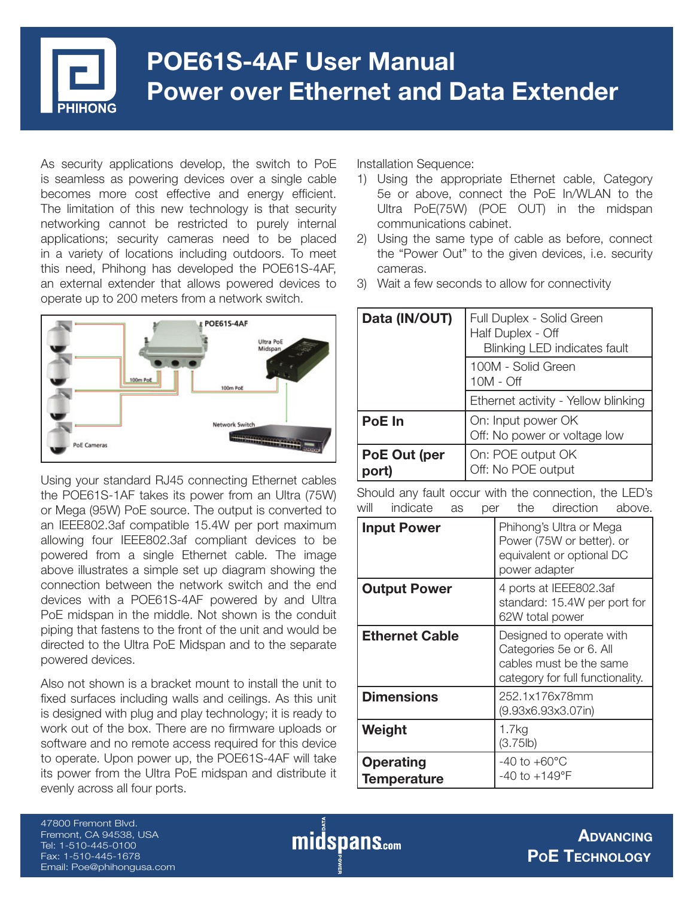

# **POE61S-4AF User Manual Power over Ethernet and Data Extender**

As security applications develop, the switch to PoE is seamless as powering devices over a single cable becomes more cost effective and energy efficient. The limitation of this new technology is that security networking cannot be restricted to purely internal applications; security cameras need to be placed in a variety of locations including outdoors. To meet this need, Phihong has developed the POE61S-4AF, an external extender that allows powered devices to operate up to 200 meters from a network switch.



Using your standard RJ45 connecting Ethernet cables the POE61S-1AF takes its power from an Ultra (75W) or Mega (95W) PoE source. The output is converted to an IEEE802.3af compatible 15.4W per port maximum allowing four IEEE802.3af compliant devices to be powered from a single Ethernet cable. The image above illustrates a simple set up diagram showing the connection between the network switch and the end devices with a POE61S-4AF powered by and Ultra PoE midspan in the middle. Not shown is the conduit piping that fastens to the front of the unit and would be directed to the Ultra PoE Midspan and to the separate powered devices.

Also not shown is a bracket mount to install the unit to fixed surfaces including walls and ceilings. As this unit is designed with plug and play technology; it is ready to work out of the box. There are no firmware uploads or software and no remote access required for this device to operate. Upon power up, the POE61S-4AF will take its power from the Ultra PoE midspan and distribute it evenly across all four ports.

Installation Sequence:

- 1) Using the appropriate Ethernet cable, Category 5e or above, connect the PoE In/WLAN to the Ultra PoE(75W) (POE OUT) in the midspan communications cabinet.
- 2) Using the same type of cable as before, connect the "Power Out" to the given devices, i.e. security cameras.
- 3) Wait a few seconds to allow for connectivity

| Data (IN/OUT) | Full Duplex - Solid Green<br>Half Duplex - Off<br><b>Blinking LED indicates fault</b> |
|---------------|---------------------------------------------------------------------------------------|
|               | 100M - Solid Green<br>$10M - Off$                                                     |
|               | Ethernet activity - Yellow blinking                                                   |
| PoE In        | On: Input power OK<br>Off: No power or voltage low                                    |
| PoE Out (per  | On: POE output OK<br>Off: No POE output                                               |

Should any fault occur with the connection, the LED's will indicate as per the direction above.

| <b>Input Power</b>                     | Phihong's Ultra or Mega<br>Power (75W or better). or<br>equivalent or optional DC<br>power adapter                 |
|----------------------------------------|--------------------------------------------------------------------------------------------------------------------|
| <b>Output Power</b>                    | 4 ports at IEEE802.3af<br>standard: 15.4W per port for<br>62W total power                                          |
| <b>Ethernet Cable</b>                  | Designed to operate with<br>Categories 5e or 6. All<br>cables must be the same<br>category for full functionality. |
| <b>Dimensions</b>                      | 252.1x176x78mm<br>(9.93x6.93x3.07in)                                                                               |
| Weight                                 | 1.7kg<br>(3.75lb)                                                                                                  |
| <b>Operating</b><br><b>Temperature</b> | $-40$ to $+60^{\circ}$ C<br>$-40$ to $+149$ °F                                                                     |

47800 Fremont Blvd. Fremont, CA 94538, USA Tel: 1-510-445-0100 Fax: 1-510-445-1678 Email: Poe@phihongusa.com

midspans.com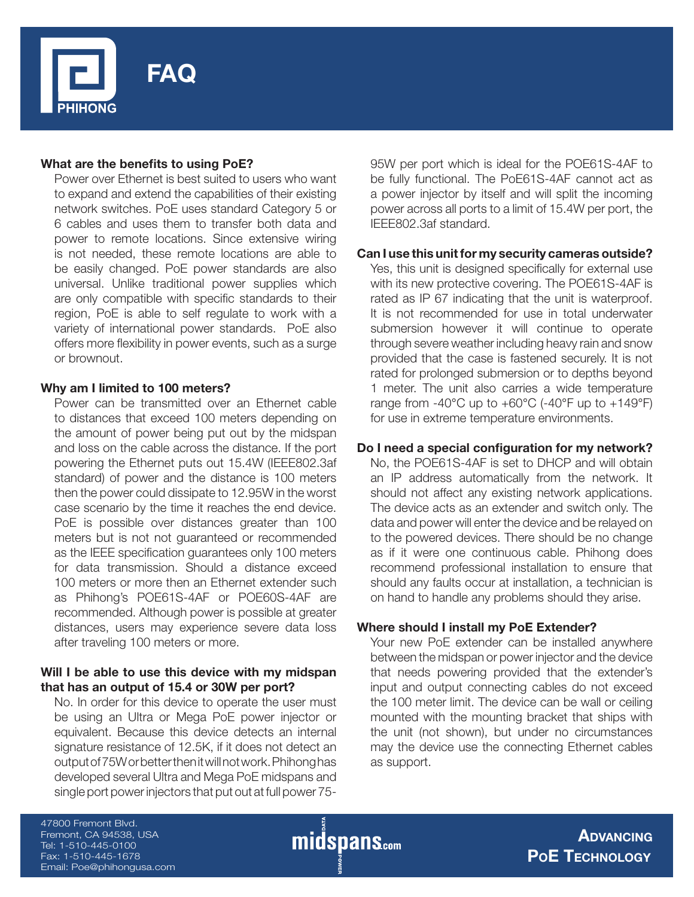

## **What are the benefits to using PoE?**

Power over Ethernet is best suited to users who want to expand and extend the capabilities of their existing network switches. PoE uses standard Category 5 or 6 cables and uses them to transfer both data and power to remote locations. Since extensive wiring is not needed, these remote locations are able to be easily changed. PoE power standards are also universal. Unlike traditional power supplies which are only compatible with specific standards to their region, PoE is able to self regulate to work with a variety of international power standards. PoE also offers more flexibility in power events, such as a surge or brownout.

## **Why am I limited to 100 meters?**

Power can be transmitted over an Ethernet cable to distances that exceed 100 meters depending on the amount of power being put out by the midspan and loss on the cable across the distance. If the port powering the Ethernet puts out 15.4W (IEEE802.3af standard) of power and the distance is 100 meters then the power could dissipate to 12.95W in the worst case scenario by the time it reaches the end device. PoE is possible over distances greater than 100 meters but is not not guaranteed or recommended as the IEEE specification guarantees only 100 meters for data transmission. Should a distance exceed 100 meters or more then an Ethernet extender such as Phihong's POE61S-4AF or POE60S-4AF are recommended. Although power is possible at greater distances, users may experience severe data loss after traveling 100 meters or more.

## **Will I be able to use this device with my midspan that has an output of 15.4 or 30W per port?**

No. In order for this device to operate the user must be using an Ultra or Mega PoE power injector or equivalent. Because this device detects an internal signature resistance of 12.5K, if it does not detect an output of 75W or better then it will not work. Phihong has developed several Ultra and Mega PoE midspans and single port power injectors that put out at full power 7595W per port which is ideal for the POE61S-4AF to be fully functional. The PoE61S-4AF cannot act as a power injector by itself and will split the incoming power across all ports to a limit of 15.4W per port, the IEEE802.3af standard.

## **Can I use this unit for my security cameras outside?**

Yes, this unit is designed specifically for external use with its new protective covering. The POE61S-4AF is rated as IP 67 indicating that the unit is waterproof. It is not recommended for use in total underwater submersion however it will continue to operate through severe weather including heavy rain and snow provided that the case is fastened securely. It is not rated for prolonged submersion or to depths beyond 1 meter. The unit also carries a wide temperature range from  $-40^{\circ}$ C up to  $+60^{\circ}$ C ( $-40^{\circ}$ F up to  $+149^{\circ}$ F) for use in extreme temperature environments.

## Do I need a special configuration for my network?

No, the POE61S-4AF is set to DHCP and will obtain an IP address automatically from the network. It should not affect any existing network applications. The device acts as an extender and switch only. The data and power will enter the device and be relayed on to the powered devices. There should be no change as if it were one continuous cable. Phihong does recommend professional installation to ensure that should any faults occur at installation, a technician is on hand to handle any problems should they arise.

## **Where should I install my PoE Extender?**

Your new PoE extender can be installed anywhere between the midspan or power injector and the device that needs powering provided that the extender's input and output connecting cables do not exceed the 100 meter limit. The device can be wall or ceiling mounted with the mounting bracket that ships with the unit (not shown), but under no circumstances may the device use the connecting Ethernet cables as support.

47800 Fremont Blvd. Fremont, CA 94538, USA Tel: 1-510-445-0100 Fax: 1-510-445-1678 Email: Poe@phihongusa.com